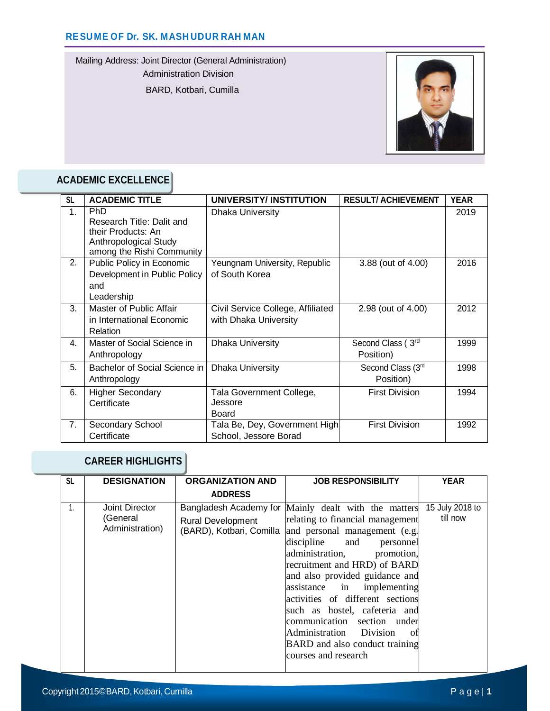Mailing Address: Joint Director (General Administration)

Administration Division

BARD, Kotbari, Cumilla



# **ACADEMIC EXCELLENCE**

| <b>SL</b>      | <b>ACADEMIC TITLE</b>                                                                                               | UNIVERSITY/INSTITUTION                                     | <b>RESULT/ ACHIEVEMENT</b>     | <b>YEAR</b> |
|----------------|---------------------------------------------------------------------------------------------------------------------|------------------------------------------------------------|--------------------------------|-------------|
| 1 <sub>1</sub> | <b>PhD</b><br>Research Title: Dalit and<br>their Products: An<br>Anthropological Study<br>among the Rishi Community | Dhaka University                                           |                                | 2019        |
| 2.             | Public Policy in Economic<br>Development in Public Policy<br>and<br>Leadership                                      | Yeungnam University, Republic<br>of South Korea            | 3.88 (out of 4.00)             | 2016        |
| 3.             | Master of Public Affair<br>in International Economic<br>Relation                                                    | Civil Service College, Affiliated<br>with Dhaka University | 2.98 (out of 4.00)             | 2012        |
| 4.             | Master of Social Science in<br>Anthropology                                                                         | Dhaka University                                           | Second Class (3rd<br>Position) | 1999        |
| 5.             | Bachelor of Social Science in<br>Anthropology                                                                       | Dhaka University                                           | Second Class (3rd<br>Position) | 1998        |
| 6.             | <b>Higher Secondary</b><br>Certificate                                                                              | Tala Government College,<br>Jessore<br>Board               | <b>First Division</b>          | 1994        |
| 7.             | Secondary School<br>Certificate                                                                                     | Tala Be, Dey, Government High<br>School, Jessore Borad     | <b>First Division</b>          | 1992        |

# **CAREER HIGHLIGHTS**

| <b>SL</b> | <b>DESIGNATION</b>                            | <b>ORGANIZATION AND</b>                                                        | <b>JOB RESPONSIBILITY</b>                                                                                                                                                                                                                                                                                                                                                                                                                                           | <b>YEAR</b>                 |
|-----------|-----------------------------------------------|--------------------------------------------------------------------------------|---------------------------------------------------------------------------------------------------------------------------------------------------------------------------------------------------------------------------------------------------------------------------------------------------------------------------------------------------------------------------------------------------------------------------------------------------------------------|-----------------------------|
|           |                                               | <b>ADDRESS</b>                                                                 |                                                                                                                                                                                                                                                                                                                                                                                                                                                                     |                             |
| 1.        | Joint Director<br>(General<br>Administration) | Bangladesh Academy for<br><b>Rural Development</b><br>(BARD), Kotbari, Comilla | Mainly dealt with the matters<br>relating to financial management<br>and personal management (e.g.<br>discipline and<br>personnel<br>administration,<br>promotion,<br>recruitment and HRD) of BARD<br>and also provided guidance and<br>assistance in implementing<br>activities of different sections<br>such as hostel, cafeteria and<br>communication section under<br>Administration Division<br>– of<br>BARD and also conduct training<br>courses and research | 15 July 2018 to<br>till now |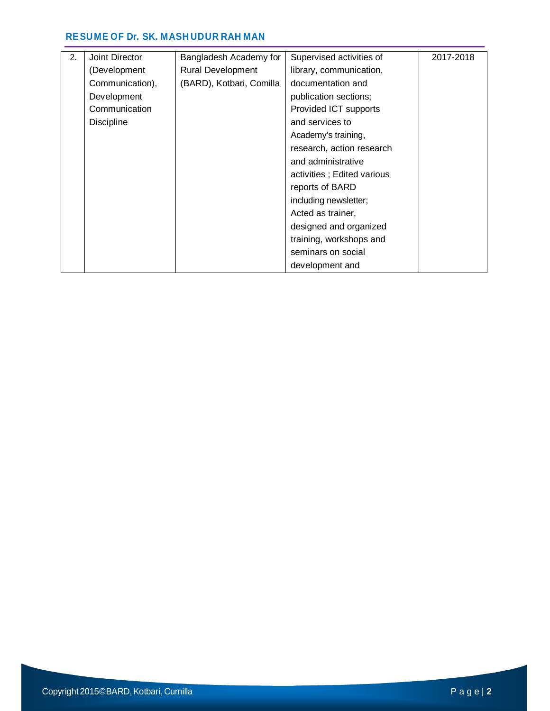| 2. | Joint Director    | Bangladesh Academy for   | Supervised activities of   | 2017-2018 |
|----|-------------------|--------------------------|----------------------------|-----------|
|    | (Development      | <b>Rural Development</b> | library, communication,    |           |
|    | Communication),   | (BARD), Kotbari, Comilla | documentation and          |           |
|    | Development       |                          | publication sections;      |           |
|    | Communication     |                          | Provided ICT supports      |           |
|    | <b>Discipline</b> |                          | and services to            |           |
|    |                   |                          | Academy's training,        |           |
|    |                   |                          | research, action research  |           |
|    |                   |                          | and administrative         |           |
|    |                   |                          | activities; Edited various |           |
|    |                   |                          | reports of BARD            |           |
|    |                   |                          | including newsletter;      |           |
|    |                   |                          | Acted as trainer,          |           |
|    |                   |                          | designed and organized     |           |
|    |                   |                          | training, workshops and    |           |
|    |                   |                          | seminars on social         |           |
|    |                   |                          | development and            |           |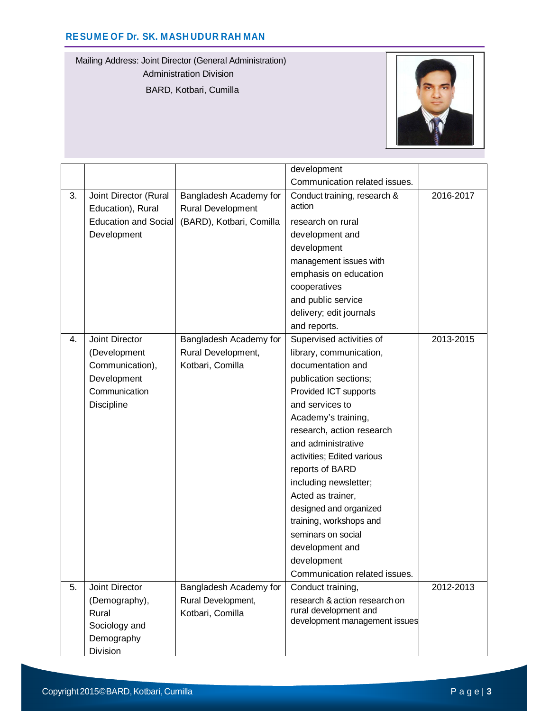Mailing Address: Joint Director (General Administration) Administration Division BARD, Kotbari, Cumilla



|    |                                            |                                                    | development                                            |           |
|----|--------------------------------------------|----------------------------------------------------|--------------------------------------------------------|-----------|
|    |                                            |                                                    | Communication related issues.                          |           |
| 3. | Joint Director (Rural<br>Education), Rural | Bangladesh Academy for<br><b>Rural Development</b> | Conduct training, research &<br>action                 | 2016-2017 |
|    | <b>Education and Social</b>                | (BARD), Kotbari, Comilla                           | research on rural                                      |           |
|    | Development                                |                                                    | development and                                        |           |
|    |                                            |                                                    | development                                            |           |
|    |                                            |                                                    | management issues with                                 |           |
|    |                                            |                                                    | emphasis on education                                  |           |
|    |                                            |                                                    | cooperatives                                           |           |
|    |                                            |                                                    | and public service                                     |           |
|    |                                            |                                                    | delivery; edit journals                                |           |
|    |                                            |                                                    | and reports.                                           |           |
| 4. | Joint Director                             | Bangladesh Academy for                             | Supervised activities of                               | 2013-2015 |
|    | (Development                               | Rural Development,                                 | library, communication,                                |           |
|    | Communication),                            | Kotbari, Comilla                                   | documentation and                                      |           |
|    | Development                                |                                                    | publication sections;                                  |           |
|    | Communication                              |                                                    | Provided ICT supports                                  |           |
|    | <b>Discipline</b>                          |                                                    | and services to                                        |           |
|    |                                            |                                                    | Academy's training,                                    |           |
|    |                                            |                                                    | research, action research                              |           |
|    |                                            |                                                    | and administrative                                     |           |
|    |                                            |                                                    | activities; Edited various                             |           |
|    |                                            |                                                    | reports of BARD                                        |           |
|    |                                            |                                                    | including newsletter;                                  |           |
|    |                                            |                                                    | Acted as trainer,                                      |           |
|    |                                            |                                                    | designed and organized                                 |           |
|    |                                            |                                                    | training, workshops and                                |           |
|    |                                            |                                                    | seminars on social                                     |           |
|    |                                            |                                                    | development and                                        |           |
|    |                                            |                                                    | development                                            |           |
|    |                                            |                                                    | Communication related issues.                          |           |
| 5. | Joint Director                             | Bangladesh Academy for                             | Conduct training,                                      | 2012-2013 |
|    | (Demography),                              | Rural Development,                                 | research & action research on                          |           |
|    | Rural                                      | Kotbari, Comilla                                   | rural development and<br>development management issues |           |
|    | Sociology and                              |                                                    |                                                        |           |
|    | Demography                                 |                                                    |                                                        |           |
|    | Division                                   |                                                    |                                                        |           |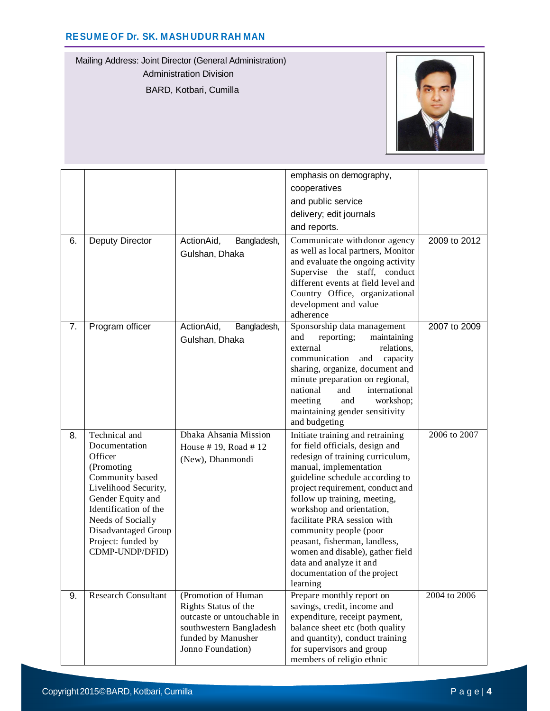Mailing Address: Joint Director (General Administration) Administration Division BARD, Kotbari, Cumilla



| 6. | Deputy Director                                                                                                                                                                                                                       | ActionAid,<br>Bangladesh,                                                                                                                       | emphasis on demography,<br>cooperatives<br>and public service<br>delivery; edit journals<br>and reports.<br>Communicate with donor agency                                                                                                                                                                                                                                                                                                                                  | 2009 to 2012 |
|----|---------------------------------------------------------------------------------------------------------------------------------------------------------------------------------------------------------------------------------------|-------------------------------------------------------------------------------------------------------------------------------------------------|----------------------------------------------------------------------------------------------------------------------------------------------------------------------------------------------------------------------------------------------------------------------------------------------------------------------------------------------------------------------------------------------------------------------------------------------------------------------------|--------------|
|    |                                                                                                                                                                                                                                       | Gulshan, Dhaka                                                                                                                                  | as well as local partners, Monitor<br>and evaluate the ongoing activity<br>Supervise the staff, conduct<br>different events at field level and<br>Country Office, organizational<br>development and value<br>adherence                                                                                                                                                                                                                                                     |              |
| 7. | Program officer                                                                                                                                                                                                                       | ActionAid,<br>Bangladesh,<br>Gulshan, Dhaka                                                                                                     | Sponsorship data management<br>reporting;<br>maintaining<br>and<br>relations,<br>external<br>communication<br>and<br>capacity<br>sharing, organize, document and<br>minute preparation on regional,<br>national<br>international<br>and<br>meeting<br>and<br>workshop;<br>maintaining gender sensitivity<br>and budgeting                                                                                                                                                  | 2007 to 2009 |
| 8. | Technical and<br>Documentation<br>Officer<br>(Promoting<br>Community based<br>Livelihood Security,<br>Gender Equity and<br>Identification of the<br>Needs of Socially<br>Disadvantaged Group<br>Project: funded by<br>CDMP-UNDP/DFID) | Dhaka Ahsania Mission<br>House #19, Road #12<br>(New), Dhanmondi                                                                                | Initiate training and retraining<br>for field officials, design and<br>redesign of training curriculum,<br>manual, implementation<br>guideline schedule according to<br>project requirement, conduct and<br>follow up training, meeting,<br>workshop and orientation,<br>facilitate PRA session with<br>community people (poor<br>peasant, fisherman, landless,<br>women and disable), gather field<br>data and analyze it and<br>documentation of the project<br>learning | 2006 to 2007 |
| 9. | <b>Research Consultant</b>                                                                                                                                                                                                            | (Promotion of Human<br>Rights Status of the<br>outcaste or untouchable in<br>southwestern Bangladesh<br>funded by Manusher<br>Jonno Foundation) | Prepare monthly report on<br>savings, credit, income and<br>expenditure, receipt payment,<br>balance sheet etc (both quality<br>and quantity), conduct training<br>for supervisors and group<br>members of religio ethnic                                                                                                                                                                                                                                                  | 2004 to 2006 |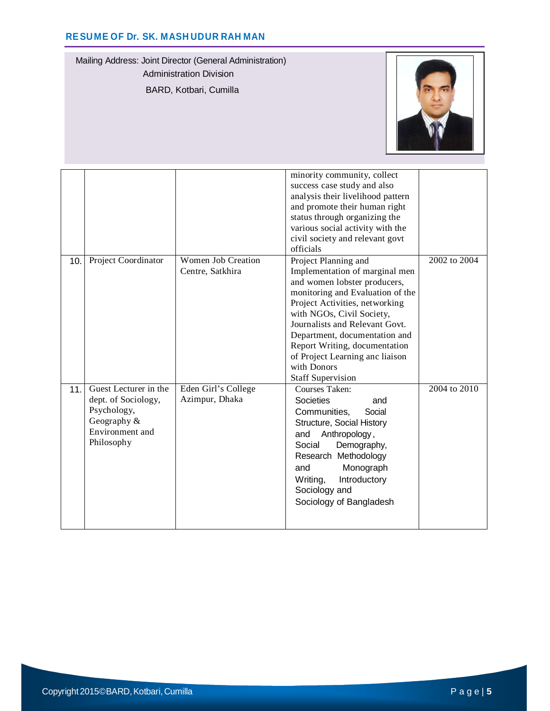Mailing Address: Joint Director (General Administration) Administration Division BARD, Kotbari, Cumilla



|     |                                                                                                             |                                               | minority community, collect<br>success case study and also<br>analysis their livelihood pattern<br>and promote their human right<br>status through organizing the<br>various social activity with the<br>civil society and relevant govt<br>officials                                                                                                                       |              |
|-----|-------------------------------------------------------------------------------------------------------------|-----------------------------------------------|-----------------------------------------------------------------------------------------------------------------------------------------------------------------------------------------------------------------------------------------------------------------------------------------------------------------------------------------------------------------------------|--------------|
| 10. | Project Coordinator                                                                                         | <b>Women Job Creation</b><br>Centre, Satkhira | Project Planning and<br>Implementation of marginal men<br>and women lobster producers,<br>monitoring and Evaluation of the<br>Project Activities, networking<br>with NGOs, Civil Society,<br>Journalists and Relevant Govt.<br>Department, documentation and<br>Report Writing, documentation<br>of Project Learning anc liaison<br>with Donors<br><b>Staff Supervision</b> | 2002 to 2004 |
| 11. | Guest Lecturer in the<br>dept. of Sociology,<br>Psychology,<br>Geography &<br>Environment and<br>Philosophy | Eden Girl's College<br>Azimpur, Dhaka         | Courses Taken:<br><b>Societies</b><br>and<br>Communities,<br>Social<br>Structure, Social History<br>Anthropology,<br>and<br>Social<br>Demography,<br>Research Methodology<br>Monograph<br>and<br>Introductory<br>Writing,<br>Sociology and<br>Sociology of Bangladesh                                                                                                       | 2004 to 2010 |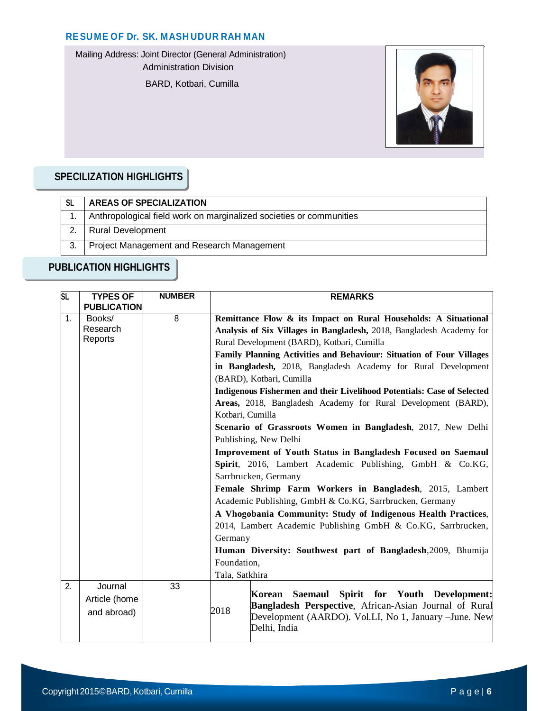Mailing Address: Joint Director (General Administration)

Administration Division

BARD, Kotbari, Cumilla



# **SPECILIZATION HIGHLIGHTS**

| -SL | <b>AREAS OF SPECIALIZATION</b>                                      |
|-----|---------------------------------------------------------------------|
|     | Anthropological field work on marginalized societies or communities |
|     | <b>Rural Development</b>                                            |
|     | Project Management and Research Management                          |

# **PUBLICATION HIGHLIGHTS**

| <b>SL</b>      | <b>TYPES OF</b>    | <b>NUMBER</b> | <b>REMARKS</b>                                                                                                   |  |
|----------------|--------------------|---------------|------------------------------------------------------------------------------------------------------------------|--|
|                | <b>PUBLICATION</b> |               |                                                                                                                  |  |
| $\mathbf{1}$ . | Books/             | 8             | Remittance Flow & its Impact on Rural Households: A Situational                                                  |  |
|                | Research           |               | Analysis of Six Villages in Bangladesh, 2018, Bangladesh Academy for                                             |  |
|                | Reports            |               | Rural Development (BARD), Kotbari, Cumilla                                                                       |  |
|                |                    |               | Family Planning Activities and Behaviour: Situation of Four Villages                                             |  |
|                |                    |               | in Bangladesh, 2018, Bangladesh Academy for Rural Development<br>(BARD), Kotbari, Cumilla                        |  |
|                |                    |               |                                                                                                                  |  |
|                |                    |               | Indigenous Fishermen and their Livelihood Potentials: Case of Selected                                           |  |
|                |                    |               | Areas, 2018, Bangladesh Academy for Rural Development (BARD),                                                    |  |
|                |                    |               | Kotbari, Cumilla                                                                                                 |  |
|                |                    |               | Scenario of Grassroots Women in Bangladesh, 2017, New Delhi                                                      |  |
|                |                    |               | Publishing, New Delhi                                                                                            |  |
|                |                    |               | Improvement of Youth Status in Bangladesh Focused on Saemaul                                                     |  |
|                |                    |               | Spirit, 2016, Lambert Academic Publishing, GmbH & Co.KG,                                                         |  |
|                |                    |               | Sarrbrucken, Germany                                                                                             |  |
|                |                    |               | Female Shrimp Farm Workers in Bangladesh, 2015, Lambert                                                          |  |
|                |                    |               | Academic Publishing, GmbH & Co.KG, Sarrbrucken, Germany                                                          |  |
|                |                    |               | A Vhogobania Community: Study of Indigenous Health Practices,                                                    |  |
|                |                    |               | 2014, Lambert Academic Publishing GmbH & Co.KG, Sarrbrucken,                                                     |  |
|                |                    |               | Germany                                                                                                          |  |
|                |                    |               | Human Diversity: Southwest part of Bangladesh, 2009, Bhumija                                                     |  |
|                |                    |               | Foundation,                                                                                                      |  |
|                |                    |               | Tala, Satkhira                                                                                                   |  |
| 2.             | Journal            | 33            |                                                                                                                  |  |
|                | Article (home      |               | Saemaul Spirit for Youth Development:<br>Korean<br><b>Bangladesh Perspective, African-Asian Journal of Rural</b> |  |
|                | and abroad)        |               | 2018<br>Development (AARDO). Vol.LI, No 1, January - June. New                                                   |  |
|                |                    |               | Delhi, India                                                                                                     |  |
|                |                    |               |                                                                                                                  |  |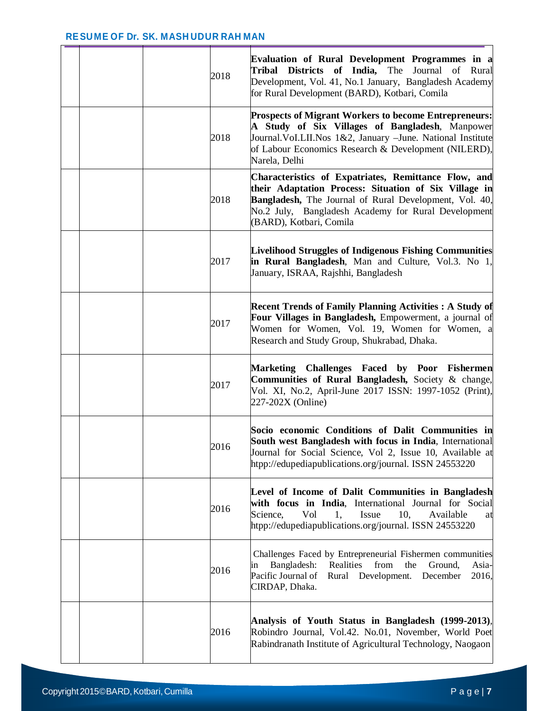|  | 2018 | <b>Evaluation of Rural Development Programmes in a</b><br>Tribal Districts of India, The Journal of Rural<br>Development, Vol. 41, No.1 January, Bangladesh Academy<br>for Rural Development (BARD), Kotbari, Comila                                             |
|--|------|------------------------------------------------------------------------------------------------------------------------------------------------------------------------------------------------------------------------------------------------------------------|
|  | 2018 | <b>Prospects of Migrant Workers to become Entrepreneurs:</b><br>A Study of Six Villages of Bangladesh, Manpower<br>Journal. Vol.LII. Nos 1&2, January -June. National Institute<br>of Labour Economics Research & Development (NILERD),<br>Narela, Delhi         |
|  | 2018 | Characteristics of Expatriates, Remittance Flow, and<br>their Adaptation Process: Situation of Six Village in<br><b>Bangladesh,</b> The Journal of Rural Development, Vol. 40,<br>No.2 July, Bangladesh Academy for Rural Development<br>(BARD), Kotbari, Comila |
|  | 2017 | <b>Livelihood Struggles of Indigenous Fishing Communities</b><br>in Rural Bangladesh, Man and Culture, Vol.3. No 1,<br>January, ISRAA, Rajshhi, Bangladesh                                                                                                       |
|  | 2017 | <b>Recent Trends of Family Planning Activities: A Study of</b><br>Four Villages in Bangladesh, Empowerment, a journal of<br>Women for Women, Vol. 19, Women for Women, a<br>Research and Study Group, Shukrabad, Dhaka.                                          |
|  | 2017 | Challenges Faced by Poor Fishermen<br>Marketing<br>Communities of Rural Bangladesh, Society & change,<br>Vol. XI, No.2, April-June 2017 ISSN: 1997-1052 (Print),<br>227-202X (Online)                                                                            |
|  | 2016 | Socio economic Conditions of Dalit Communities in<br>South west Bangladesh with focus in India, International<br>Journal for Social Science, Vol 2, Issue 10, Available at<br>htpp://edupediapublications.org/journal. ISSN 24553220                             |
|  | 2016 | Level of Income of Dalit Communities in Bangladesh<br>with focus in India, International Journal for Social<br>Vol<br>Issue<br>10,<br>Available<br>Science,<br>1,<br>at<br>htpp://edupediapublications.org/journal. ISSN 24553220                                |
|  | 2016 | Challenges Faced by Entrepreneurial Fishermen communities<br>Bangladesh:<br>Realities<br>from<br>the<br>Ground,<br>Asia-<br>ın<br>Pacific Journal of<br>Rural Development. December<br>2016,<br>CIRDAP, Dhaka.                                                   |
|  | 2016 | Analysis of Youth Status in Bangladesh (1999-2013),<br>Robindro Journal, Vol.42. No.01, November, World Poet<br>Rabindranath Institute of Agricultural Technology, Naogaon                                                                                       |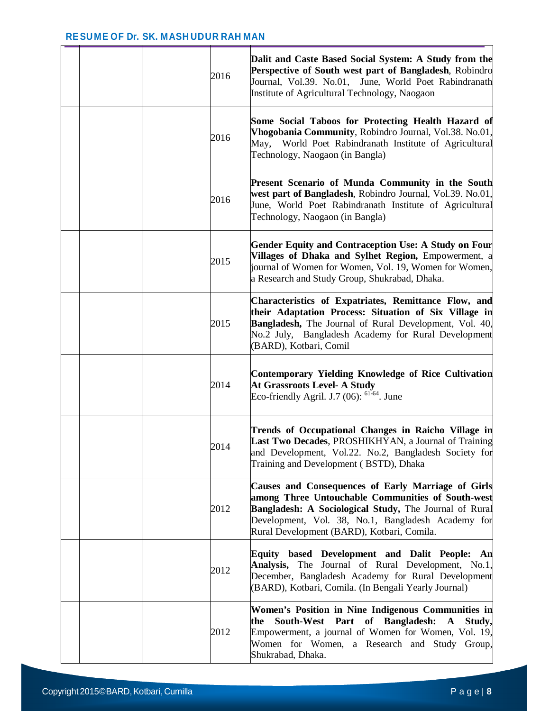|  | 2016 | Dalit and Caste Based Social System: A Study from the<br>Perspective of South west part of Bangladesh, Robindro<br>Journal, Vol.39. No.01, June, World Poet Rabindranath<br>Institute of Agricultural Technology, Naogaon                                                    |
|--|------|------------------------------------------------------------------------------------------------------------------------------------------------------------------------------------------------------------------------------------------------------------------------------|
|  | 2016 | Some Social Taboos for Protecting Health Hazard of<br>Vhogobania Community, Robindro Journal, Vol.38. No.01,<br>World Poet Rabindranath Institute of Agricultural<br>May,<br>Technology, Naogaon (in Bangla)                                                                 |
|  | 2016 | Present Scenario of Munda Community in the South<br>west part of Bangladesh, Robindro Journal, Vol.39. No.01,<br>June, World Poet Rabindranath Institute of Agricultural<br>Technology, Naogaon (in Bangla)                                                                  |
|  | 2015 | <b>Gender Equity and Contraception Use: A Study on Four</b><br>Villages of Dhaka and Sylhet Region, Empowerment, a<br>journal of Women for Women, Vol. 19, Women for Women,<br>a Research and Study Group, Shukrabad, Dhaka.                                                 |
|  | 2015 | Characteristics of Expatriates, Remittance Flow, and<br>their Adaptation Process: Situation of Six Village in<br>Bangladesh, The Journal of Rural Development, Vol. 40,<br>No.2 July, Bangladesh Academy for Rural Development<br>(BARD), Kotbari, Comil                     |
|  | 2014 | <b>Contemporary Yielding Knowledge of Rice Cultivation</b><br><b>At Grassroots Level- A Study</b><br>Eco-friendly Agril. J.7 $(06)$ : <sup>61-64</sup> . June                                                                                                                |
|  | 2014 | Trends of Occupational Changes in Raicho Village in<br>Last Two Decades, PROSHIKHYAN, a Journal of Training<br>and Development, Vol.22. No.2, Bangladesh Society for<br>Training and Development (BSTD), Dhaka                                                               |
|  | 2012 | Causes and Consequences of Early Marriage of Girls<br>among Three Untouchable Communities of South-west<br><b>Bangladesh: A Sociological Study, The Journal of Rural</b><br>Development, Vol. 38, No.1, Bangladesh Academy for<br>Rural Development (BARD), Kotbari, Comila. |
|  | 2012 | Equity based Development and Dalit People: An<br>Analysis, The Journal of Rural Development, No.1,<br>December, Bangladesh Academy for Rural Development<br>(BARD), Kotbari, Comila. (In Bengali Yearly Journal)                                                             |
|  | 2012 | Women's Position in Nine Indigenous Communities in<br>South-West Part<br>of Bangladesh:<br>Study,<br>the<br>$\mathbf{A}$<br>Empowerment, a journal of Women for Women, Vol. 19,<br>Women for Women, a Research and Study Group,<br>Shukrabad, Dhaka.                         |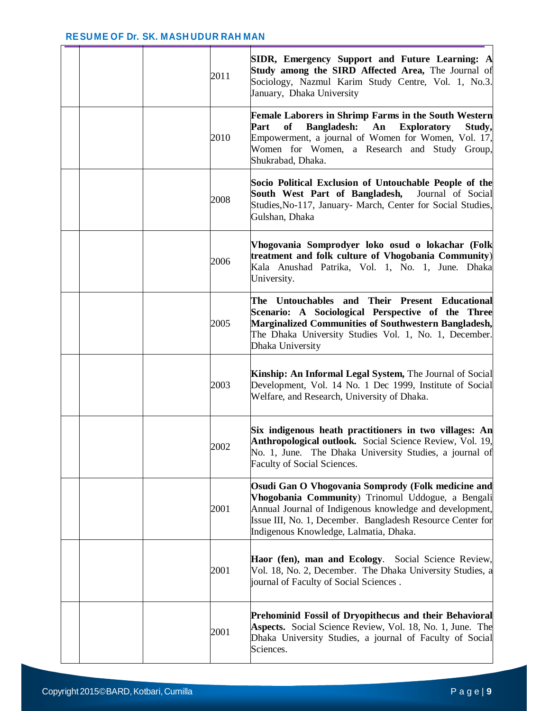|  | 2011 | SIDR, Emergency Support and Future Learning: A<br>Study among the SIRD Affected Area, The Journal of<br>Sociology, Nazmul Karim Study Centre, Vol. 1, No.3.<br>January, Dhaka University                                                                                   |
|--|------|----------------------------------------------------------------------------------------------------------------------------------------------------------------------------------------------------------------------------------------------------------------------------|
|  | 2010 | <b>Female Laborers in Shrimp Farms in the South Western</b><br>Bangladesh: An<br>Part<br>of<br><b>Exploratory</b><br>Study,<br>Empowerment, a journal of Women for Women, Vol. 17,<br>Women for Women, a Research and Study Group,<br>Shukrabad, Dhaka.                    |
|  | 2008 | Socio Political Exclusion of Untouchable People of the<br>South West Part of Bangladesh, Journal of Social<br>Studies, No-117, January- March, Center for Social Studies,<br>Gulshan, Dhaka                                                                                |
|  | 2006 | Vhogovania Somprodyer loko osud o lokachar (Folk<br>treatment and folk culture of Vhogobania Community)<br>Kala Anushad Patrika, Vol. 1, No. 1, June. Dhaka<br>University.                                                                                                 |
|  | 2005 | The Untouchables and Their Present Educational<br>Scenario: A Sociological Perspective of the Three<br><b>Marginalized Communities of Southwestern Bangladesh,</b><br>The Dhaka University Studies Vol. 1, No. 1, December.<br>Dhaka University                            |
|  | 2003 | Kinship: An Informal Legal System, The Journal of Social<br>Development, Vol. 14 No. 1 Dec 1999, Institute of Social<br>Welfare, and Research, University of Dhaka.                                                                                                        |
|  | 2002 | Six indigenous heath practitioners in two villages: An<br>Anthropological outlook. Social Science Review, Vol. 19,<br>No. 1, June. The Dhaka University Studies, a journal of<br>Faculty of Social Sciences.                                                               |
|  | 2001 | Osudi Gan O Vhogovania Somprody (Folk medicine and<br>Vhogobania Community) Trinomul Uddogue, a Bengali<br>Annual Journal of Indigenous knowledge and development,<br>Issue III, No. 1, December. Bangladesh Resource Center for<br>Indigenous Knowledge, Lalmatia, Dhaka. |
|  | 2001 | Haor (fen), man and Ecology. Social Science Review,<br>Vol. 18, No. 2, December. The Dhaka University Studies, a<br>journal of Faculty of Social Sciences.                                                                                                                 |
|  | 2001 | Prehominid Fossil of Dryopithecus and their Behavioral<br>Aspects. Social Science Review, Vol. 18, No. 1, June. The<br>Dhaka University Studies, a journal of Faculty of Social<br>Sciences.                                                                               |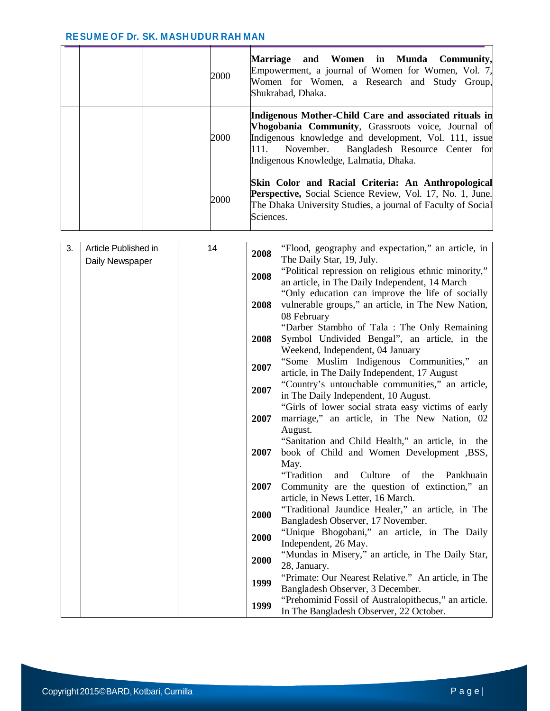|  | 2000 | Marriage and Women in Munda Community,<br>Empowerment, a journal of Women for Women, Vol. 7,<br>Women for Women, a Research and Study Group,<br>Shukrabad, Dhaka.                                                                                                |
|--|------|------------------------------------------------------------------------------------------------------------------------------------------------------------------------------------------------------------------------------------------------------------------|
|  | 2000 | Indigenous Mother-Child Care and associated rituals in<br>Vhogobania Community, Grassroots voice, Journal of<br>Indigenous knowledge and development, Vol. 111, issue<br>111. November. Bangladesh Resource Center for<br>Indigenous Knowledge, Lalmatia, Dhaka. |
|  | 2000 | Skin Color and Racial Criteria: An Anthropological<br><b>Perspective,</b> Social Science Review, Vol. 17, No. 1, June.<br>The Dhaka University Studies, a journal of Faculty of Social<br>Sciences.                                                              |

| 3. | Article Published in | 14 | 2008 | "Flood, geography and expectation," an article, in      |
|----|----------------------|----|------|---------------------------------------------------------|
|    | Daily Newspaper      |    |      | The Daily Star, 19, July.                               |
|    |                      |    | 2008 | "Political repression on religious ethnic minority,"    |
|    |                      |    |      | an article, in The Daily Independent, 14 March          |
|    |                      |    |      | "Only education can improve the life of socially        |
|    |                      |    | 2008 | vulnerable groups," an article, in The New Nation,      |
|    |                      |    |      | 08 February                                             |
|    |                      |    |      | "Darber Stambho of Tala: The Only Remaining             |
|    |                      |    | 2008 | Symbol Undivided Bengal", an article, in the            |
|    |                      |    |      | Weekend, Independent, 04 January                        |
|    |                      |    | 2007 | "Some Muslim Indigenous Communities,"<br>an             |
|    |                      |    |      | article, in The Daily Independent, 17 August            |
|    |                      |    | 2007 | "Country's untouchable communities," an article,        |
|    |                      |    |      | in The Daily Independent, 10 August.                    |
|    |                      |    | 2007 | "Girls of lower social strata easy victims of early     |
|    |                      |    |      | marriage," an article, in The New Nation, 02<br>August. |
|    |                      |    |      | "Sanitation and Child Health," an article, in the       |
|    |                      |    | 2007 | book of Child and Women Development ,BSS,               |
|    |                      |    |      | May.                                                    |
|    |                      |    |      | "Tradition<br>Culture of the<br>Pankhuain<br>and        |
|    |                      |    | 2007 | Community are the question of extinction," an           |
|    |                      |    |      | article, in News Letter, 16 March.                      |
|    |                      |    |      | "Traditional Jaundice Healer," an article, in The       |
|    |                      |    | 2000 | Bangladesh Observer, 17 November.                       |
|    |                      |    |      | "Unique Bhogobani," an article, in The Daily            |
|    |                      |    | 2000 | Independent, 26 May.                                    |
|    |                      |    | 2000 | "Mundas in Misery," an article, in The Daily Star,      |
|    |                      |    |      | 28, January.                                            |
|    |                      |    | 1999 | "Primate: Our Nearest Relative." An article, in The     |
|    |                      |    |      | Bangladesh Observer, 3 December.                        |
|    |                      |    | 1999 | "Prehominid Fossil of Australopithecus," an article.    |
|    |                      |    |      | In The Bangladesh Observer, 22 October.                 |